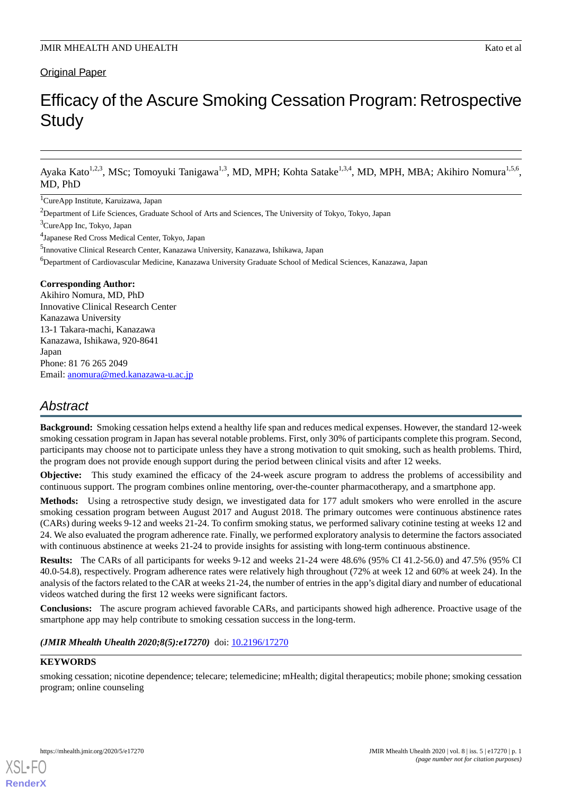# Original Paper

# Efficacy of the Ascure Smoking Cessation Program: Retrospective **Study**

Ayaka Kato<sup>1,2,3</sup>, MSc; Tomoyuki Tanigawa<sup>1,3</sup>, MD, MPH; Kohta Satake<sup>1,3,4</sup>, MD, MPH, MBA; Akihiro Nomura<sup>1,5,6</sup>, MD, PhD

<sup>1</sup>CureApp Institute, Karuizawa, Japan

<sup>3</sup>CureApp Inc, Tokyo, Japan

4 Japanese Red Cross Medical Center, Tokyo, Japan

5 Innovative Clinical Research Center, Kanazawa University, Kanazawa, Ishikawa, Japan

<sup>6</sup>Department of Cardiovascular Medicine, Kanazawa University Graduate School of Medical Sciences, Kanazawa, Japan

# **Corresponding Author:**

Akihiro Nomura, MD, PhD Innovative Clinical Research Center Kanazawa University 13-1 Takara-machi, Kanazawa Kanazawa, Ishikawa, 920-8641 Japan Phone: 81 76 265 2049 Email: [anomura@med.kanazawa-u.ac.jp](mailto:anomura@med.kanazawa-u.ac.jp)

# *Abstract*

**Background:** Smoking cessation helps extend a healthy life span and reduces medical expenses. However, the standard 12-week smoking cessation program in Japan has several notable problems. First, only 30% of participants complete this program. Second, participants may choose not to participate unless they have a strong motivation to quit smoking, such as health problems. Third, the program does not provide enough support during the period between clinical visits and after 12 weeks.

**Objective:** This study examined the efficacy of the 24-week ascure program to address the problems of accessibility and continuous support. The program combines online mentoring, over-the-counter pharmacotherapy, and a smartphone app.

**Methods:** Using a retrospective study design, we investigated data for 177 adult smokers who were enrolled in the ascure smoking cessation program between August 2017 and August 2018. The primary outcomes were continuous abstinence rates (CARs) during weeks 9-12 and weeks 21-24. To confirm smoking status, we performed salivary cotinine testing at weeks 12 and 24. We also evaluated the program adherence rate. Finally, we performed exploratory analysis to determine the factors associated with continuous abstinence at weeks 21-24 to provide insights for assisting with long-term continuous abstinence.

**Results:** The CARs of all participants for weeks 9-12 and weeks 21-24 were 48.6% (95% CI 41.2-56.0) and 47.5% (95% CI 40.0-54.8), respectively. Program adherence rates were relatively high throughout (72% at week 12 and 60% at week 24). In the analysis of the factors related to the CAR at weeks 21-24, the number of entries in the app's digital diary and number of educational videos watched during the first 12 weeks were significant factors.

**Conclusions:** The ascure program achieved favorable CARs, and participants showed high adherence. Proactive usage of the smartphone app may help contribute to smoking cessation success in the long-term.

# *(JMIR Mhealth Uhealth 2020;8(5):e17270)* doi:  $10.2196/17270$

# **KEYWORDS**

[XSL](http://www.w3.org/Style/XSL)•FO **[RenderX](http://www.renderx.com/)**

smoking cessation; nicotine dependence; telecare; telemedicine; mHealth; digital therapeutics; mobile phone; smoking cessation program; online counseling

<sup>&</sup>lt;sup>2</sup>Department of Life Sciences, Graduate School of Arts and Sciences, The University of Tokyo, Tokyo, Japan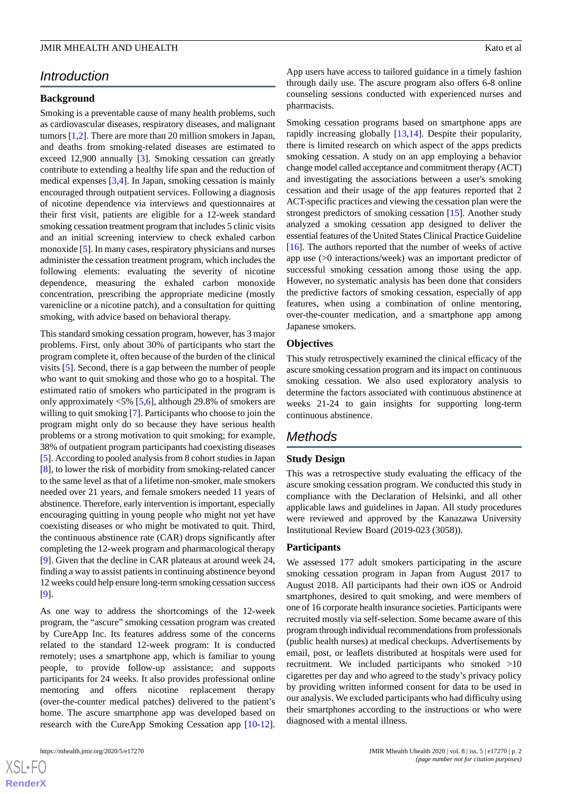# *Introduction*

# **Background**

Smoking is a preventable cause of many health problems, such as cardiovascular diseases, respiratory diseases, and malignant tumors [[1,](#page-7-0)[2](#page-7-1)]. There are more than 20 million smokers in Japan, and deaths from smoking-related diseases are estimated to exceed 12,900 annually [[3\]](#page-7-2). Smoking cessation can greatly contribute to extending a healthy life span and the reduction of medical expenses [[3,](#page-7-2)[4](#page-7-3)]. In Japan, smoking cessation is mainly encouraged through outpatient services. Following a diagnosis of nicotine dependence via interviews and questionnaires at their first visit, patients are eligible for a 12-week standard smoking cessation treatment program that includes 5 clinic visits and an initial screening interview to check exhaled carbon monoxide [[5\]](#page-7-4). In many cases, respiratory physicians and nurses administer the cessation treatment program, which includes the following elements: evaluating the severity of nicotine dependence, measuring the exhaled carbon monoxide concentration, prescribing the appropriate medicine (mostly varenicline or a nicotine patch), and a consultation for quitting smoking, with advice based on behavioral therapy.

This standard smoking cessation program, however, has 3 major problems. First, only about 30% of participants who start the program complete it, often because of the burden of the clinical visits [\[5](#page-7-4)]. Second, there is a gap between the number of people who want to quit smoking and those who go to a hospital. The estimated ratio of smokers who participated in the program is only approximately  $\leq 5\%$  [\[5](#page-7-4),[6\]](#page-7-5), although 29.8% of smokers are willing to quit smoking [\[7\]](#page-8-0). Participants who choose to join the program might only do so because they have serious health problems or a strong motivation to quit smoking; for example, 38% of outpatient program participants had coexisting diseases [[5\]](#page-7-4). According to pooled analysis from 8 cohort studies in Japan [[8\]](#page-8-1), to lower the risk of morbidity from smoking-related cancer to the same level as that of a lifetime non-smoker, male smokers needed over 21 years, and female smokers needed 11 years of abstinence. Therefore, early intervention is important, especially encouraging quitting in young people who might not yet have coexisting diseases or who might be motivated to quit. Third, the continuous abstinence rate (CAR) drops significantly after completing the 12-week program and pharmacological therapy [[9\]](#page-8-2). Given that the decline in CAR plateaus at around week 24, finding a way to assist patients in continuing abstinence beyond 12 weeks could help ensure long-term smoking cessation success [[9\]](#page-8-2).

As one way to address the shortcomings of the 12-week program, the "ascure" smoking cessation program was created by CureApp Inc. Its features address some of the concerns related to the standard 12-week program: It is conducted remotely; uses a smartphone app, which is familiar to young people, to provide follow-up assistance; and supports participants for 24 weeks. It also provides professional online mentoring and offers nicotine replacement therapy (over-the-counter medical patches) delivered to the patient's home. The ascure smartphone app was developed based on research with the CureApp Smoking Cessation app [\[10](#page-8-3)-[12\]](#page-8-4).

 $XS$  • FO **[RenderX](http://www.renderx.com/)** App users have access to tailored guidance in a timely fashion through daily use. The ascure program also offers 6-8 online counseling sessions conducted with experienced nurses and pharmacists.

Smoking cessation programs based on smartphone apps are rapidly increasing globally [[13](#page-8-5)[,14](#page-8-6)]. Despite their popularity, there is limited research on which aspect of the apps predicts smoking cessation. A study on an app employing a behavior change model called acceptance and commitment therapy (ACT) and investigating the associations between a user's smoking cessation and their usage of the app features reported that 2 ACT-specific practices and viewing the cessation plan were the strongest predictors of smoking cessation [[15\]](#page-8-7). Another study analyzed a smoking cessation app designed to deliver the essential features of the United States Clinical Practice Guideline [[16\]](#page-8-8). The authors reported that the number of weeks of active app use (>0 interactions/week) was an important predictor of successful smoking cessation among those using the app. However, no systematic analysis has been done that considers the predictive factors of smoking cessation, especially of app features, when using a combination of online mentoring, over-the-counter medication, and a smartphone app among Japanese smokers.

# **Objectives**

This study retrospectively examined the clinical efficacy of the ascure smoking cessation program and its impact on continuous smoking cessation. We also used exploratory analysis to determine the factors associated with continuous abstinence at weeks 21-24 to gain insights for supporting long-term continuous abstinence.

# *Methods*

# **Study Design**

This was a retrospective study evaluating the efficacy of the ascure smoking cessation program. We conducted this study in compliance with the Declaration of Helsinki, and all other applicable laws and guidelines in Japan. All study procedures were reviewed and approved by the Kanazawa University Institutional Review Board (2019-023 (3058)).

# **Participants**

We assessed 177 adult smokers participating in the ascure smoking cessation program in Japan from August 2017 to August 2018. All participants had their own iOS or Android smartphones, desired to quit smoking, and were members of one of 16 corporate health insurance societies. Participants were recruited mostly via self-selection. Some became aware of this program through individual recommendations from professionals (public health nurses) at medical checkups. Advertisements by email, post, or leaflets distributed at hospitals were used for recruitment. We included participants who smoked >10 cigarettes per day and who agreed to the study's privacy policy by providing written informed consent for data to be used in our analysis. We excluded participants who had difficulty using their smartphones according to the instructions or who were diagnosed with a mental illness.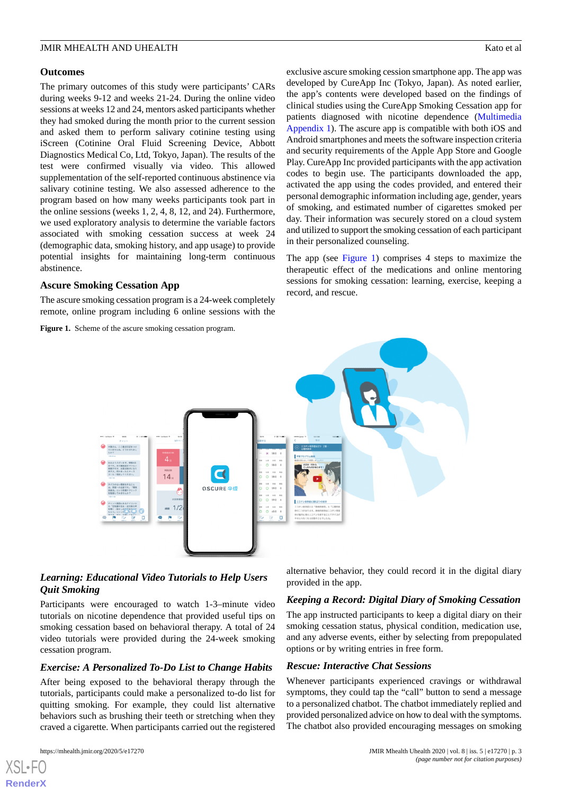## **Outcomes**

The primary outcomes of this study were participants' CARs during weeks 9-12 and weeks 21-24. During the online video sessions at weeks 12 and 24, mentors asked participants whether they had smoked during the month prior to the current session and asked them to perform salivary cotinine testing using iScreen (Cotinine Oral Fluid Screening Device, Abbott Diagnostics Medical Co, Ltd, Tokyo, Japan). The results of the test were confirmed visually via video. This allowed supplementation of the self-reported continuous abstinence via salivary cotinine testing. We also assessed adherence to the program based on how many weeks participants took part in the online sessions (weeks 1, 2, 4, 8, 12, and 24). Furthermore, we used exploratory analysis to determine the variable factors associated with smoking cessation success at week 24 (demographic data, smoking history, and app usage) to provide potential insights for maintaining long-term continuous abstinence.

# **Ascure Smoking Cessation App**

<span id="page-2-0"></span>The ascure smoking cessation program is a 24-week completely remote, online program including 6 online sessions with the

Figure 1. Scheme of the ascure smoking cessation program.

exclusive ascure smoking cession smartphone app. The app was developed by CureApp Inc (Tokyo, Japan). As noted earlier, the app's contents were developed based on the findings of clinical studies using the CureApp Smoking Cessation app for patients diagnosed with nicotine dependence [\(Multimedia](#page-7-6) [Appendix 1\)](#page-7-6). The ascure app is compatible with both iOS and Android smartphones and meets the software inspection criteria and security requirements of the Apple App Store and Google Play. CureApp Inc provided participants with the app activation codes to begin use. The participants downloaded the app, activated the app using the codes provided, and entered their personal demographic information including age, gender, years of smoking, and estimated number of cigarettes smoked per day. Their information was securely stored on a cloud system and utilized to support the smoking cessation of each participant in their personalized counseling.

The app (see [Figure 1](#page-2-0)) comprises 4 steps to maximize the therapeutic effect of the medications and online mentoring sessions for smoking cessation: learning, exercise, keeping a record, and rescue.



# *Learning: Educational Video Tutorials to Help Users Quit Smoking*

Participants were encouraged to watch 1-3–minute video tutorials on nicotine dependence that provided useful tips on smoking cessation based on behavioral therapy. A total of 24 video tutorials were provided during the 24-week smoking cessation program.

# *Exercise: A Personalized To-Do List to Change Habits*

After being exposed to the behavioral therapy through the tutorials, participants could make a personalized to-do list for quitting smoking. For example, they could list alternative behaviors such as brushing their teeth or stretching when they craved a cigarette. When participants carried out the registered

[XSL](http://www.w3.org/Style/XSL)•FO **[RenderX](http://www.renderx.com/)**

alternative behavior, they could record it in the digital diary provided in the app.

# *Keeping a Record: Digital Diary of Smoking Cessation*

The app instructed participants to keep a digital diary on their smoking cessation status, physical condition, medication use, and any adverse events, either by selecting from prepopulated options or by writing entries in free form.

# *Rescue: Interactive Chat Sessions*

Whenever participants experienced cravings or withdrawal symptoms, they could tap the "call" button to send a message to a personalized chatbot. The chatbot immediately replied and provided personalized advice on how to deal with the symptoms. The chatbot also provided encouraging messages on smoking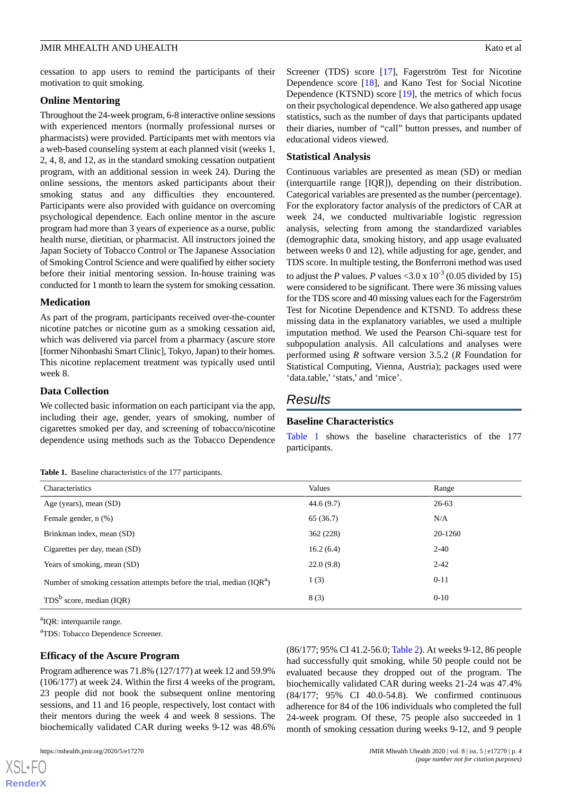cessation to app users to remind the participants of their motivation to quit smoking.

#### **Online Mentoring**

Throughout the 24-week program, 6-8 interactive online sessions with experienced mentors (normally professional nurses or pharmacists) were provided. Participants met with mentors via a web-based counseling system at each planned visit (weeks 1, 2, 4, 8, and 12, as in the standard smoking cessation outpatient program, with an additional session in week 24). During the online sessions, the mentors asked participants about their smoking status and any difficulties they encountered. Participants were also provided with guidance on overcoming psychological dependence. Each online mentor in the ascure program had more than 3 years of experience as a nurse, public health nurse, dietitian, or pharmacist. All instructors joined the Japan Society of Tobacco Control or The Japanese Association of Smoking Control Science and were qualified by either society before their initial mentoring session. In-house training was conducted for 1 month to learn the system for smoking cessation.

#### **Medication**

As part of the program, participants received over-the-counter nicotine patches or nicotine gum as a smoking cessation aid, which was delivered via parcel from a pharmacy (ascure store [former Nihonbashi Smart Clinic], Tokyo, Japan) to their homes. This nicotine replacement treatment was typically used until week 8.

## **Data Collection**

<span id="page-3-0"></span>We collected basic information on each participant via the app, including their age, gender, years of smoking, number of cigarettes smoked per day, and screening of tobacco/nicotine dependence using methods such as the Tobacco Dependence

**Table 1.** Baseline characteristics of the 177 participants.

Screener (TDS) score [[17\]](#page-8-9), Fagerström Test for Nicotine Dependence score [\[18](#page-8-10)], and Kano Test for Social Nicotine Dependence (KTSND) score [\[19](#page-8-11)], the metrics of which focus on their psychological dependence. We also gathered app usage statistics, such as the number of days that participants updated their diaries, number of "call" button presses, and number of educational videos viewed.

#### **Statistical Analysis**

Continuous variables are presented as mean (SD) or median (interquartile range [IQR]), depending on their distribution. Categorical variables are presented as the number (percentage). For the exploratory factor analysis of the predictors of CAR at week 24, we conducted multivariable logistic regression analysis, selecting from among the standardized variables (demographic data, smoking history, and app usage evaluated between weeks 0 and 12), while adjusting for age, gender, and TDS score. In multiple testing, the Bonferroni method was used to adjust the *P* values. *P* values <3.0 x  $10^{-3}$  (0.05 divided by 15) were considered to be significant. There were 36 missing values for the TDS score and 40 missing values each for the Fagerström Test for Nicotine Dependence and KTSND. To address these missing data in the explanatory variables, we used a multiple imputation method. We used the Pearson Chi-square test for subpopulation analysis. All calculations and analyses were performed using *R* software version 3.5.2 (*R* Foundation for Statistical Computing, Vienna, Austria); packages used were 'data.table,' 'stats,' and 'mice'.

# *Results*

## **Baseline Characteristics**

[Table 1](#page-3-0) shows the baseline characteristics of the 177 participants.

| Values    | Range     |
|-----------|-----------|
| 44.6(9.7) | $26 - 63$ |
| 65 (36.7) | N/A       |
| 362(228)  | 20-1260   |
| 16.2(6.4) | $2 - 40$  |
| 22.0(9.8) | $2 - 42$  |
| 1(3)      | $0 - 11$  |
| 8(3)      | $0 - 10$  |
|           |           |

<sup>a</sup>IQR: interquartile range.

<sup>a</sup>TDS: Tobacco Dependence Screener.

#### **Efficacy of the Ascure Program**

Program adherence was 71.8% (127/177) at week 12 and 59.9% (106/177) at week 24. Within the first 4 weeks of the program, 23 people did not book the subsequent online mentoring sessions, and 11 and 16 people, respectively, lost contact with their mentors during the week 4 and week 8 sessions. The biochemically validated CAR during weeks 9-12 was 48.6%

[XSL](http://www.w3.org/Style/XSL)•FO **[RenderX](http://www.renderx.com/)**

(86/177; 95% CI 41.2-56.0; [Table 2](#page-4-0)). At weeks 9-12, 86 people had successfully quit smoking, while 50 people could not be evaluated because they dropped out of the program. The biochemically validated CAR during weeks 21-24 was 47.4% (84/177; 95% CI 40.0-54.8). We confirmed continuous adherence for 84 of the 106 individuals who completed the full 24-week program. Of these, 75 people also succeeded in 1 month of smoking cessation during weeks 9-12, and 9 people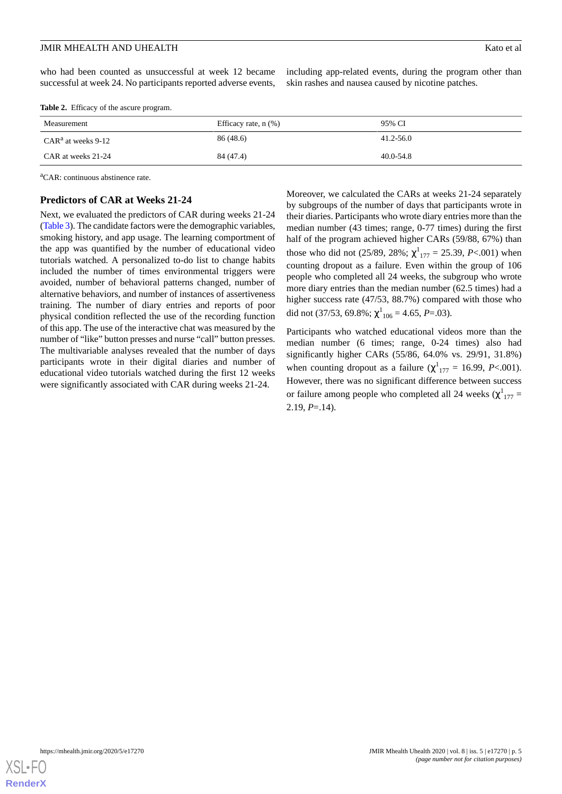who had been counted as unsuccessful at week 12 became successful at week 24. No participants reported adverse events,

including app-related events, during the program other than skin rashes and nausea caused by nicotine patches.

<span id="page-4-0"></span>

|  | Table 2. Efficacy of the ascure program. |  |  |
|--|------------------------------------------|--|--|
|--|------------------------------------------|--|--|

| Measurement          | Efficacy rate, $n$ $(\%)$ | 95% CI        |
|----------------------|---------------------------|---------------|
| $CARa$ at weeks 9-12 | 86 (48.6)                 | 41.2-56.0     |
| CAR at weeks 21-24   | 84 (47.4)                 | $40.0 - 54.8$ |

<sup>a</sup>CAR: continuous abstinence rate.

#### **Predictors of CAR at Weeks 21-24**

Next, we evaluated the predictors of CAR during weeks 21-24 ([Table 3](#page-5-0)). The candidate factors were the demographic variables, smoking history, and app usage. The learning comportment of the app was quantified by the number of educational video tutorials watched. A personalized to-do list to change habits included the number of times environmental triggers were avoided, number of behavioral patterns changed, number of alternative behaviors, and number of instances of assertiveness training. The number of diary entries and reports of poor physical condition reflected the use of the recording function of this app. The use of the interactive chat was measured by the number of "like" button presses and nurse "call" button presses. The multivariable analyses revealed that the number of days participants wrote in their digital diaries and number of educational video tutorials watched during the first 12 weeks were significantly associated with CAR during weeks 21-24.

Moreover, we calculated the CARs at weeks 21-24 separately by subgroups of the number of days that participants wrote in their diaries. Participants who wrote diary entries more than the median number (43 times; range, 0-77 times) during the first half of the program achieved higher CARs (59/88, 67%) than those who did not  $(25/89, 28\%; \chi^1_{177} = 25.39, P < .001)$  when counting dropout as a failure. Even within the group of 106 people who completed all 24 weeks, the subgroup who wrote more diary entries than the median number (62.5 times) had a higher success rate (47/53, 88.7%) compared with those who did not (37/53, 69.8%;  $\chi^1_{106} = 4.65$ , *P*=.03).

Participants who watched educational videos more than the median number (6 times; range, 0-24 times) also had significantly higher CARs (55/86, 64.0% vs. 29/91, 31.8%) when counting dropout as a failure  $(\chi^1_{177} = 16.99, P<.001)$ . However, there was no significant difference between success or failure among people who completed all 24 weeks ( $\chi^1_{177}$  = 2.19, *P*=.14).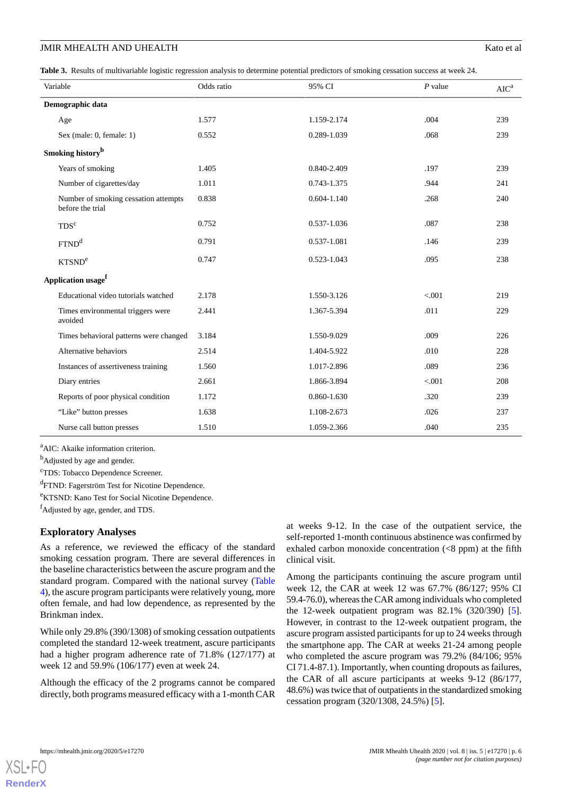<span id="page-5-0"></span>**Table 3.** Results of multivariable logistic regression analysis to determine potential predictors of smoking cessation success at week 24.

|                                | Variable                                                 | Odds ratio | 95% CI          | $P$ value | $AIC^a$ |
|--------------------------------|----------------------------------------------------------|------------|-----------------|-----------|---------|
|                                | Demographic data                                         |            |                 |           |         |
|                                | Age                                                      | 1.577      | 1.159-2.174     | .004      | 239     |
|                                | Sex (male: 0, female: 1)                                 | 0.552      | 0.289-1.039     | .068      | 239     |
|                                | Smoking history <sup>b</sup>                             |            |                 |           |         |
|                                | Years of smoking                                         | 1.405      | 0.840-2.409     | .197      | 239     |
|                                | Number of cigarettes/day                                 | 1.011      | 0.743-1.375     | .944      | 241     |
|                                | Number of smoking cessation attempts<br>before the trial | 0.838      | $0.604 - 1.140$ | .268      | 240     |
|                                | TDS <sup>c</sup>                                         | 0.752      | 0.537-1.036     | .087      | 238     |
|                                | FTND <sup>d</sup>                                        | 0.791      | 0.537-1.081     | .146      | 239     |
|                                | <b>KTSND<sup>e</sup></b>                                 | 0.747      | 0.523-1.043     | .095      | 238     |
| Application usage <sup>f</sup> |                                                          |            |                 |           |         |
|                                | Educational video tutorials watched                      | 2.178      | 1.550-3.126     | < .001    | 219     |
|                                | Times environmental triggers were<br>avoided             | 2.441      | 1.367-5.394     | .011      | 229     |
|                                | Times behavioral patterns were changed                   | 3.184      | 1.550-9.029     | .009      | 226     |
|                                | Alternative behaviors                                    | 2.514      | 1.404-5.922     | .010      | 228     |
|                                | Instances of assertiveness training                      | 1.560      | 1.017-2.896     | .089      | 236     |
|                                | Diary entries                                            | 2.661      | 1.866-3.894     | < 0.001   | 208     |
|                                | Reports of poor physical condition                       | 1.172      | 0.860-1.630     | .320      | 239     |
|                                | "Like" button presses                                    | 1.638      | 1.108-2.673     | .026      | 237     |
|                                | Nurse call button presses                                | 1.510      | 1.059-2.366     | .040      | 235     |

<sup>a</sup>AIC: Akaike information criterion.

<sup>b</sup>Adjusted by age and gender.

<sup>c</sup>TDS: Tobacco Dependence Screener.

<sup>d</sup>FTND: Fagerström Test for Nicotine Dependence.

<sup>e</sup>KTSND: Kano Test for Social Nicotine Dependence.

<sup>f</sup>Adjusted by age, gender, and TDS.

#### **Exploratory Analyses**

As a reference, we reviewed the efficacy of the standard smoking cessation program. There are several differences in the baseline characteristics between the ascure program and the standard program. Compared with the national survey ([Table](#page-6-0) [4\)](#page-6-0), the ascure program participants were relatively young, more often female, and had low dependence, as represented by the Brinkman index.

While only 29.8% (390/1308) of smoking cessation outpatients completed the standard 12-week treatment, ascure participants had a higher program adherence rate of 71.8% (127/177) at week 12 and 59.9% (106/177) even at week 24.

Although the efficacy of the 2 programs cannot be compared directly, both programs measured efficacy with a 1-month CAR

at weeks 9-12. In the case of the outpatient service, the self-reported 1-month continuous abstinence was confirmed by exhaled carbon monoxide concentration (<8 ppm) at the fifth clinical visit.

Among the participants continuing the ascure program until week 12, the CAR at week 12 was 67.7% (86/127; 95% CI 59.4-76.0), whereas the CAR among individuals who completed the 12-week outpatient program was  $82.1\%$  (320/390) [[5\]](#page-7-4). However, in contrast to the 12-week outpatient program, the ascure program assisted participants for up to 24 weeks through the smartphone app. The CAR at weeks 21-24 among people who completed the ascure program was 79.2% (84/106; 95% CI 71.4-87.1). Importantly, when counting dropouts as failures, the CAR of all ascure participants at weeks 9-12 (86/177, 48.6%) was twice that of outpatients in the standardized smoking cessation program (320/1308, 24.5%) [\[5](#page-7-4)].



[XSL](http://www.w3.org/Style/XSL)•FO **[RenderX](http://www.renderx.com/)**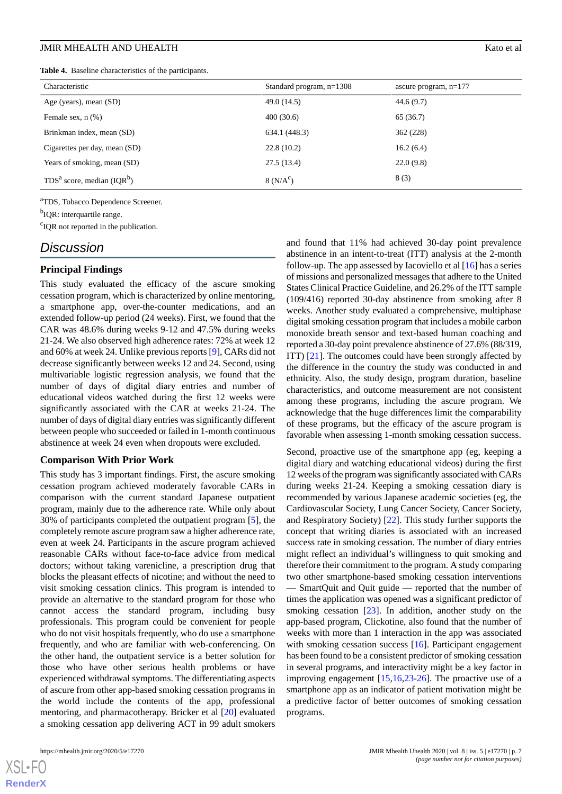#### JMIR MHEALTH AND UHEALTH

<span id="page-6-0"></span>**Table 4.** Baseline characteristics of the participants.

| Kato et al |  |
|------------|--|
|            |  |

| Characteristic                           | Standard program, $n=1308$ | ascure program, $n=177$ |
|------------------------------------------|----------------------------|-------------------------|
| Age (years), mean (SD)                   | 49.0 (14.5)                | 44.6(9.7)               |
| Female sex, $n$ $(\%)$                   | 400(30.6)                  | 65(36.7)                |
| Brinkman index, mean (SD)                | 634.1 (448.3)              | 362 (228)               |
| Cigarettes per day, mean (SD)            | 22.8(10.2)                 | 16.2(6.4)               |
| Years of smoking, mean (SD)              | 27.5(13.4)                 | 22.0(9.8)               |
| $TDSa$ score, median (IQR <sup>b</sup> ) | $8(N/A^c)$                 | 8(3)                    |

<sup>a</sup>TDS, Tobacco Dependence Screener.

<sup>b</sup>IQR: interquartile range.

<sup>c</sup>IQR not reported in the publication.

# *Discussion*

#### **Principal Findings**

This study evaluated the efficacy of the ascure smoking cessation program, which is characterized by online mentoring, a smartphone app, over-the-counter medications, and an extended follow-up period (24 weeks). First, we found that the CAR was 48.6% during weeks 9-12 and 47.5% during weeks 21-24. We also observed high adherence rates: 72% at week 12 and 60% at week 24. Unlike previous reports [[9\]](#page-8-2), CARs did not decrease significantly between weeks 12 and 24. Second, using multivariable logistic regression analysis, we found that the number of days of digital diary entries and number of educational videos watched during the first 12 weeks were significantly associated with the CAR at weeks 21-24. The number of days of digital diary entries was significantly different between people who succeeded or failed in 1-month continuous abstinence at week 24 even when dropouts were excluded.

#### **Comparison With Prior Work**

This study has 3 important findings. First, the ascure smoking cessation program achieved moderately favorable CARs in comparison with the current standard Japanese outpatient program, mainly due to the adherence rate. While only about 30% of participants completed the outpatient program [[5\]](#page-7-4), the completely remote ascure program saw a higher adherence rate, even at week 24. Participants in the ascure program achieved reasonable CARs without face-to-face advice from medical doctors; without taking varenicline, a prescription drug that blocks the pleasant effects of nicotine; and without the need to visit smoking cessation clinics. This program is intended to provide an alternative to the standard program for those who cannot access the standard program, including busy professionals. This program could be convenient for people who do not visit hospitals frequently, who do use a smartphone frequently, and who are familiar with web-conferencing. On the other hand, the outpatient service is a better solution for those who have other serious health problems or have experienced withdrawal symptoms. The differentiating aspects of ascure from other app-based smoking cessation programs in the world include the contents of the app, professional mentoring, and pharmacotherapy. Bricker et al [[20\]](#page-8-12) evaluated a smoking cessation app delivering ACT in 99 adult smokers

 $XS$  • FO **[RenderX](http://www.renderx.com/)** and found that 11% had achieved 30-day point prevalence abstinence in an intent-to-treat (ITT) analysis at the 2-month follow-up. The app assessed by Iacoviello et al  $[16]$  $[16]$  has a series of missions and personalized messages that adhere to the United States Clinical Practice Guideline, and 26.2% of the ITT sample (109/416) reported 30-day abstinence from smoking after 8 weeks. Another study evaluated a comprehensive, multiphase digital smoking cessation program that includes a mobile carbon monoxide breath sensor and text-based human coaching and reported a 30-day point prevalence abstinence of 27.6% (88/319, ITT) [\[21](#page-8-13)]. The outcomes could have been strongly affected by the difference in the country the study was conducted in and ethnicity. Also, the study design, program duration, baseline characteristics, and outcome measurement are not consistent among these programs, including the ascure program. We acknowledge that the huge differences limit the comparability of these programs, but the efficacy of the ascure program is favorable when assessing 1-month smoking cessation success.

Second, proactive use of the smartphone app (eg, keeping a digital diary and watching educational videos) during the first 12 weeks of the program was significantly associated with CARs during weeks 21-24. Keeping a smoking cessation diary is recommended by various Japanese academic societies (eg, the Cardiovascular Society, Lung Cancer Society, Cancer Society, and Respiratory Society) [[22\]](#page-8-14). This study further supports the concept that writing diaries is associated with an increased success rate in smoking cessation. The number of diary entries might reflect an individual's willingness to quit smoking and therefore their commitment to the program. A study comparing two other smartphone-based smoking cessation interventions — SmartQuit and Quit guide — reported that the number of times the application was opened was a significant predictor of smoking cessation  $[23]$  $[23]$ . In addition, another study on the app-based program, Clickotine, also found that the number of weeks with more than 1 interaction in the app was associated with smoking cessation success [[16\]](#page-8-8). Participant engagement has been found to be a consistent predictor of smoking cessation in several programs, and interactivity might be a key factor in improving engagement [\[15](#page-8-7),[16](#page-8-8)[,23](#page-8-15)-[26\]](#page-8-16). The proactive use of a smartphone app as an indicator of patient motivation might be a predictive factor of better outcomes of smoking cessation programs.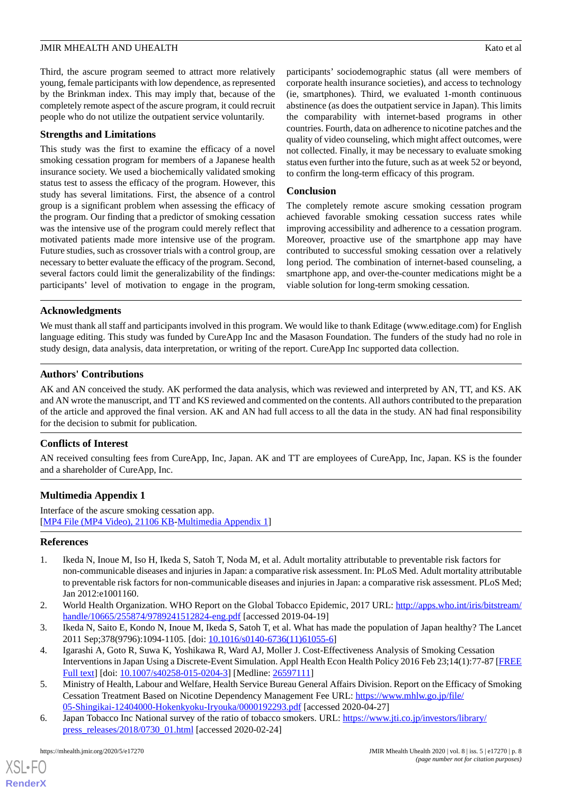Third, the ascure program seemed to attract more relatively young, female participants with low dependence, as represented by the Brinkman index. This may imply that, because of the completely remote aspect of the ascure program, it could recruit people who do not utilize the outpatient service voluntarily.

#### **Strengths and Limitations**

This study was the first to examine the efficacy of a novel smoking cessation program for members of a Japanese health insurance society. We used a biochemically validated smoking status test to assess the efficacy of the program. However, this study has several limitations. First, the absence of a control group is a significant problem when assessing the efficacy of the program. Our finding that a predictor of smoking cessation was the intensive use of the program could merely reflect that motivated patients made more intensive use of the program. Future studies, such as crossover trials with a control group, are necessary to better evaluate the efficacy of the program. Second, several factors could limit the generalizability of the findings: participants' level of motivation to engage in the program,

participants' sociodemographic status (all were members of corporate health insurance societies), and access to technology (ie, smartphones). Third, we evaluated 1-month continuous abstinence (as does the outpatient service in Japan). This limits the comparability with internet-based programs in other countries. Fourth, data on adherence to nicotine patches and the quality of video counseling, which might affect outcomes, were not collected. Finally, it may be necessary to evaluate smoking status even further into the future, such as at week 52 or beyond, to confirm the long-term efficacy of this program.

#### **Conclusion**

The completely remote ascure smoking cessation program achieved favorable smoking cessation success rates while improving accessibility and adherence to a cessation program. Moreover, proactive use of the smartphone app may have contributed to successful smoking cessation over a relatively long period. The combination of internet-based counseling, a smartphone app, and over-the-counter medications might be a viable solution for long-term smoking cessation.

#### **Acknowledgments**

We must thank all staff and participants involved in this program. We would like to thank Editage (www.editage.com) for English language editing. This study was funded by CureApp Inc and the Masason Foundation. The funders of the study had no role in study design, data analysis, data interpretation, or writing of the report. CureApp Inc supported data collection.

#### **Authors' Contributions**

AK and AN conceived the study. AK performed the data analysis, which was reviewed and interpreted by AN, TT, and KS. AK and AN wrote the manuscript, and TT and KS reviewed and commented on the contents. All authors contributed to the preparation of the article and approved the final version. AK and AN had full access to all the data in the study. AN had final responsibility for the decision to submit for publication.

# <span id="page-7-6"></span>**Conflicts of Interest**

AN received consulting fees from CureApp, Inc, Japan. AK and TT are employees of CureApp, Inc, Japan. KS is the founder and a shareholder of CureApp, Inc.

# **Multimedia Appendix 1**

<span id="page-7-0"></span>Interface of the ascure smoking cessation app. [[MP4 File \(MP4 Video\), 21106 KB-Multimedia Appendix 1](https://jmir.org/api/download?alt_name=mhealth_v8i5e17270_app1.mp4&filename=554e57a43a774f9138b8e3d492eaca0c.mp4)]

#### <span id="page-7-1"></span>**References**

- <span id="page-7-2"></span>1. Ikeda N, Inoue M, Iso H, Ikeda S, Satoh T, Noda M, et al. Adult mortality attributable to preventable risk factors for non-communicable diseases and injuries in Japan: a comparative risk assessment. In: PLoS Med. Adult mortality attributable to preventable risk factors for non-communicable diseases and injuries in Japan: a comparative risk assessment. PLoS Med; Jan 2012:e1001160.
- <span id="page-7-3"></span>2. World Health Organization. WHO Report on the Global Tobacco Epidemic, 2017 URL: [http://apps.who.int/iris/bitstream/](http://apps.who.int/iris/bitstream/handle/10665/255874/9789241512824-eng.pdf) [handle/10665/255874/9789241512824-eng.pdf](http://apps.who.int/iris/bitstream/handle/10665/255874/9789241512824-eng.pdf) [accessed 2019-04-19]
- <span id="page-7-4"></span>3. Ikeda N, Saito E, Kondo N, Inoue M, Ikeda S, Satoh T, et al. What has made the population of Japan healthy? The Lancet 2011 Sep;378(9796):1094-1105. [doi: [10.1016/s0140-6736\(11\)61055-6\]](http://dx.doi.org/10.1016/s0140-6736(11)61055-6)
- <span id="page-7-5"></span>4. Igarashi A, Goto R, Suwa K, Yoshikawa R, Ward AJ, Moller J. Cost-Effectiveness Analysis of Smoking Cessation Interventions in Japan Using a Discrete-Event Simulation. Appl Health Econ Health Policy 2016 Feb 23;14(1):77-87 [\[FREE](http://europepmc.org/abstract/MED/26597111) [Full text\]](http://europepmc.org/abstract/MED/26597111) [doi: [10.1007/s40258-015-0204-3](http://dx.doi.org/10.1007/s40258-015-0204-3)] [Medline: [26597111](http://www.ncbi.nlm.nih.gov/entrez/query.fcgi?cmd=Retrieve&db=PubMed&list_uids=26597111&dopt=Abstract)]
- 5. Ministry of Health, Labour and Welfare, Health Service Bureau General Affairs Division. Report on the Efficacy of Smoking Cessation Treatment Based on Nicotine Dependency Management Fee URL: [https://www.mhlw.go.jp/file/](https://www.mhlw.go.jp/file/05-Shingikai-12404000-Hokenkyoku-Iryouka/0000192293.pdf) [05-Shingikai-12404000-Hokenkyoku-Iryouka/0000192293.pdf](https://www.mhlw.go.jp/file/05-Shingikai-12404000-Hokenkyoku-Iryouka/0000192293.pdf) [accessed 2020-04-27]
- 6. Japan Tobacco Inc National survey of the ratio of tobacco smokers. URL: [https://www.jti.co.jp/investors/library/](https://www.jti.co.jp/investors/library/press_releases/2018/0730_01.html) [press\\_releases/2018/0730\\_01.html](https://www.jti.co.jp/investors/library/press_releases/2018/0730_01.html) [accessed 2020-02-24]

[XSL](http://www.w3.org/Style/XSL)•FO **[RenderX](http://www.renderx.com/)**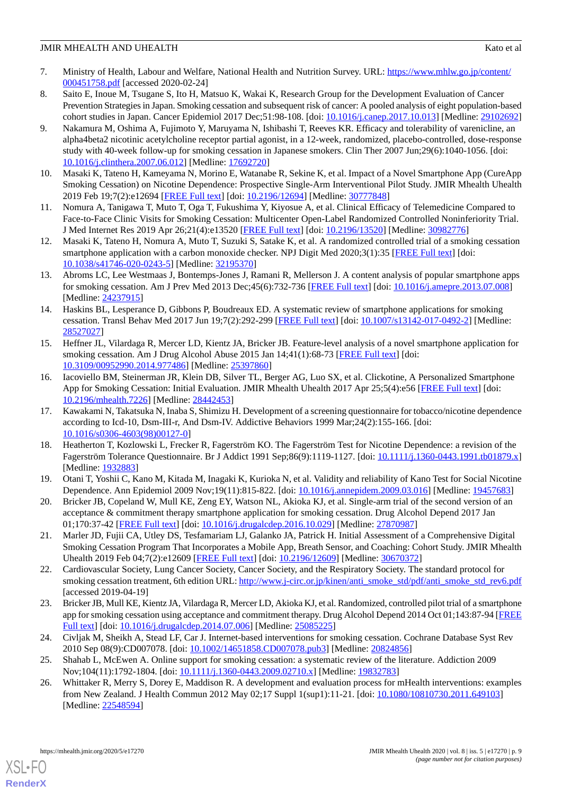- <span id="page-8-0"></span>7. Ministry of Health, Labour and Welfare, National Health and Nutrition Survey. URL: [https://www.mhlw.go.jp/content/](https://www.mhlw.go.jp/content/000451758.pdf) [000451758.pdf](https://www.mhlw.go.jp/content/000451758.pdf) [accessed 2020-02-24]
- <span id="page-8-1"></span>8. Saito E, Inoue M, Tsugane S, Ito H, Matsuo K, Wakai K, Research Group for the Development Evaluation of Cancer Prevention Strategies in Japan. Smoking cessation and subsequent risk of cancer: A pooled analysis of eight population-based cohort studies in Japan. Cancer Epidemiol 2017 Dec;51:98-108. [doi: [10.1016/j.canep.2017.10.013\]](http://dx.doi.org/10.1016/j.canep.2017.10.013) [Medline: [29102692](http://www.ncbi.nlm.nih.gov/entrez/query.fcgi?cmd=Retrieve&db=PubMed&list_uids=29102692&dopt=Abstract)]
- <span id="page-8-2"></span>9. Nakamura M, Oshima A, Fujimoto Y, Maruyama N, Ishibashi T, Reeves KR. Efficacy and tolerability of varenicline, an alpha4beta2 nicotinic acetylcholine receptor partial agonist, in a 12-week, randomized, placebo-controlled, dose-response study with 40-week follow-up for smoking cessation in Japanese smokers. Clin Ther 2007 Jun;29(6):1040-1056. [doi: [10.1016/j.clinthera.2007.06.012\]](http://dx.doi.org/10.1016/j.clinthera.2007.06.012) [Medline: [17692720](http://www.ncbi.nlm.nih.gov/entrez/query.fcgi?cmd=Retrieve&db=PubMed&list_uids=17692720&dopt=Abstract)]
- <span id="page-8-3"></span>10. Masaki K, Tateno H, Kameyama N, Morino E, Watanabe R, Sekine K, et al. Impact of a Novel Smartphone App (CureApp Smoking Cessation) on Nicotine Dependence: Prospective Single-Arm Interventional Pilot Study. JMIR Mhealth Uhealth 2019 Feb 19;7(2):e12694 [\[FREE Full text](https://mhealth.jmir.org/2019/2/e12694/)] [doi: [10.2196/12694\]](http://dx.doi.org/10.2196/12694) [Medline: [30777848\]](http://www.ncbi.nlm.nih.gov/entrez/query.fcgi?cmd=Retrieve&db=PubMed&list_uids=30777848&dopt=Abstract)
- <span id="page-8-4"></span>11. Nomura A, Tanigawa T, Muto T, Oga T, Fukushima Y, Kiyosue A, et al. Clinical Efficacy of Telemedicine Compared to Face-to-Face Clinic Visits for Smoking Cessation: Multicenter Open-Label Randomized Controlled Noninferiority Trial. J Med Internet Res 2019 Apr 26;21(4):e13520 [[FREE Full text](https://www.jmir.org/2019/4/e13520/)] [doi: [10.2196/13520\]](http://dx.doi.org/10.2196/13520) [Medline: [30982776\]](http://www.ncbi.nlm.nih.gov/entrez/query.fcgi?cmd=Retrieve&db=PubMed&list_uids=30982776&dopt=Abstract)
- <span id="page-8-5"></span>12. Masaki K, Tateno H, Nomura A, Muto T, Suzuki S, Satake K, et al. A randomized controlled trial of a smoking cessation smartphone application with a carbon monoxide checker. NPJ Digit Med 2020;3(1):35 [[FREE Full text](http://europepmc.org/abstract/MED/32195370)] [doi: [10.1038/s41746-020-0243-5\]](http://dx.doi.org/10.1038/s41746-020-0243-5) [Medline: [32195370](http://www.ncbi.nlm.nih.gov/entrez/query.fcgi?cmd=Retrieve&db=PubMed&list_uids=32195370&dopt=Abstract)]
- <span id="page-8-6"></span>13. Abroms LC, Lee Westmaas J, Bontemps-Jones J, Ramani R, Mellerson J. A content analysis of popular smartphone apps for smoking cessation. Am J Prev Med 2013 Dec;45(6):732-736 [[FREE Full text\]](http://europepmc.org/abstract/MED/24237915) [doi: [10.1016/j.amepre.2013.07.008\]](http://dx.doi.org/10.1016/j.amepre.2013.07.008) [Medline: [24237915](http://www.ncbi.nlm.nih.gov/entrez/query.fcgi?cmd=Retrieve&db=PubMed&list_uids=24237915&dopt=Abstract)]
- <span id="page-8-7"></span>14. Haskins BL, Lesperance D, Gibbons P, Boudreaux ED. A systematic review of smartphone applications for smoking cessation. Transl Behav Med 2017 Jun 19;7(2):292-299 [[FREE Full text](http://europepmc.org/abstract/MED/28527027)] [doi: [10.1007/s13142-017-0492-2\]](http://dx.doi.org/10.1007/s13142-017-0492-2) [Medline: [28527027](http://www.ncbi.nlm.nih.gov/entrez/query.fcgi?cmd=Retrieve&db=PubMed&list_uids=28527027&dopt=Abstract)]
- <span id="page-8-8"></span>15. Heffner JL, Vilardaga R, Mercer LD, Kientz JA, Bricker JB. Feature-level analysis of a novel smartphone application for smoking cessation. Am J Drug Alcohol Abuse 2015 Jan 14;41(1):68-73 [\[FREE Full text\]](http://europepmc.org/abstract/MED/25397860) [doi: [10.3109/00952990.2014.977486\]](http://dx.doi.org/10.3109/00952990.2014.977486) [Medline: [25397860\]](http://www.ncbi.nlm.nih.gov/entrez/query.fcgi?cmd=Retrieve&db=PubMed&list_uids=25397860&dopt=Abstract)
- <span id="page-8-9"></span>16. Iacoviello BM, Steinerman JR, Klein DB, Silver TL, Berger AG, Luo SX, et al. Clickotine, A Personalized Smartphone App for Smoking Cessation: Initial Evaluation. JMIR Mhealth Uhealth 2017 Apr 25;5(4):e56 [[FREE Full text](https://mhealth.jmir.org/2017/4/e56/)] [doi: [10.2196/mhealth.7226](http://dx.doi.org/10.2196/mhealth.7226)] [Medline: [28442453](http://www.ncbi.nlm.nih.gov/entrez/query.fcgi?cmd=Retrieve&db=PubMed&list_uids=28442453&dopt=Abstract)]
- <span id="page-8-10"></span>17. Kawakami N, Takatsuka N, Inaba S, Shimizu H. Development of a screening questionnaire for tobacco/nicotine dependence according to Icd-10, Dsm-III-r, And Dsm-IV. Addictive Behaviors 1999 Mar;24(2):155-166. [doi: [10.1016/s0306-4603\(98\)00127-0](http://dx.doi.org/10.1016/s0306-4603(98)00127-0)]
- <span id="page-8-12"></span><span id="page-8-11"></span>18. Heatherton T, Kozlowski L, Frecker R, Fagerström KO. The Fagerström Test for Nicotine Dependence: a revision of the Fagerström Tolerance Questionnaire. Br J Addict 1991 Sep;86(9):1119-1127. [doi: [10.1111/j.1360-0443.1991.tb01879.x](http://dx.doi.org/10.1111/j.1360-0443.1991.tb01879.x)] [Medline: [1932883\]](http://www.ncbi.nlm.nih.gov/entrez/query.fcgi?cmd=Retrieve&db=PubMed&list_uids=1932883&dopt=Abstract)
- <span id="page-8-13"></span>19. Otani T, Yoshii C, Kano M, Kitada M, Inagaki K, Kurioka N, et al. Validity and reliability of Kano Test for Social Nicotine Dependence. Ann Epidemiol 2009 Nov;19(11):815-822. [doi: [10.1016/j.annepidem.2009.03.016](http://dx.doi.org/10.1016/j.annepidem.2009.03.016)] [Medline: [19457683](http://www.ncbi.nlm.nih.gov/entrez/query.fcgi?cmd=Retrieve&db=PubMed&list_uids=19457683&dopt=Abstract)]
- <span id="page-8-14"></span>20. Bricker JB, Copeland W, Mull KE, Zeng EY, Watson NL, Akioka KJ, et al. Single-arm trial of the second version of an acceptance & commitment therapy smartphone application for smoking cessation. Drug Alcohol Depend 2017 Jan 01;170:37-42 [\[FREE Full text\]](http://europepmc.org/abstract/MED/27870987) [doi: [10.1016/j.drugalcdep.2016.10.029](http://dx.doi.org/10.1016/j.drugalcdep.2016.10.029)] [Medline: [27870987](http://www.ncbi.nlm.nih.gov/entrez/query.fcgi?cmd=Retrieve&db=PubMed&list_uids=27870987&dopt=Abstract)]
- <span id="page-8-15"></span>21. Marler JD, Fujii CA, Utley DS, Tesfamariam LJ, Galanko JA, Patrick H. Initial Assessment of a Comprehensive Digital Smoking Cessation Program That Incorporates a Mobile App, Breath Sensor, and Coaching: Cohort Study. JMIR Mhealth Uhealth 2019 Feb 04;7(2):e12609 [\[FREE Full text\]](https://mhealth.jmir.org/2019/2/e12609/) [doi: [10.2196/12609](http://dx.doi.org/10.2196/12609)] [Medline: [30670372\]](http://www.ncbi.nlm.nih.gov/entrez/query.fcgi?cmd=Retrieve&db=PubMed&list_uids=30670372&dopt=Abstract)
- 22. Cardiovascular Society, Lung Cancer Society, Cancer Society, and the Respiratory Society. The standard protocol for smoking cessation treatment, 6th edition URL: [http://www.j-circ.or.jp/kinen/anti\\_smoke\\_std/pdf/anti\\_smoke\\_std\\_rev6.pdf](http://www.j-circ.or.jp/kinen/anti_smoke_std/pdf/anti_smoke_std_rev6.pdf) [accessed 2019-04-19]
- <span id="page-8-16"></span>23. Bricker JB, Mull KE, Kientz JA, Vilardaga R, Mercer LD, Akioka KJ, et al. Randomized, controlled pilot trial of a smartphone app for smoking cessation using acceptance and commitment therapy. Drug Alcohol Depend 2014 Oct 01;143:87-94 [\[FREE](http://europepmc.org/abstract/MED/25085225) [Full text\]](http://europepmc.org/abstract/MED/25085225) [doi: [10.1016/j.drugalcdep.2014.07.006\]](http://dx.doi.org/10.1016/j.drugalcdep.2014.07.006) [Medline: [25085225](http://www.ncbi.nlm.nih.gov/entrez/query.fcgi?cmd=Retrieve&db=PubMed&list_uids=25085225&dopt=Abstract)]
- 24. Civljak M, Sheikh A, Stead LF, Car J. Internet-based interventions for smoking cessation. Cochrane Database Syst Rev 2010 Sep 08(9):CD007078. [doi: [10.1002/14651858.CD007078.pub3](http://dx.doi.org/10.1002/14651858.CD007078.pub3)] [Medline: [20824856](http://www.ncbi.nlm.nih.gov/entrez/query.fcgi?cmd=Retrieve&db=PubMed&list_uids=20824856&dopt=Abstract)]
- 25. Shahab L, McEwen A. Online support for smoking cessation: a systematic review of the literature. Addiction 2009 Nov;104(11):1792-1804. [doi: [10.1111/j.1360-0443.2009.02710.x\]](http://dx.doi.org/10.1111/j.1360-0443.2009.02710.x) [Medline: [19832783\]](http://www.ncbi.nlm.nih.gov/entrez/query.fcgi?cmd=Retrieve&db=PubMed&list_uids=19832783&dopt=Abstract)
- 26. Whittaker R, Merry S, Dorey E, Maddison R. A development and evaluation process for mHealth interventions: examples from New Zealand. J Health Commun 2012 May 02;17 Suppl 1(sup1):11-21. [doi: [10.1080/10810730.2011.649103\]](http://dx.doi.org/10.1080/10810730.2011.649103) [Medline: [22548594](http://www.ncbi.nlm.nih.gov/entrez/query.fcgi?cmd=Retrieve&db=PubMed&list_uids=22548594&dopt=Abstract)]

[XSL](http://www.w3.org/Style/XSL)•FO **[RenderX](http://www.renderx.com/)**